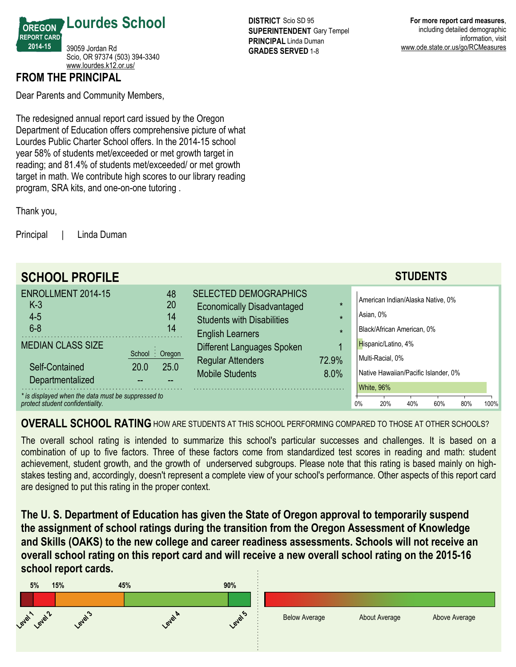

## **FROM THE PRINCIPAL**

Dear Parents and Community Members,

The redesigned annual report card issued by the Oregon Department of Education offers comprehensive picture of what Lourdes Public Charter School offers. In the 2014-15 school year 58% of students met/exceeded or met growth target in reading; and 81.4% of students met/exceeded/ or met growth target in math. We contribute high scores to our library reading program, SRA kits, and one-on-one tutoring.

Thank you,

Principal | Linda Duman

| <b>SCHOOL PROFILE</b>                                                                  |                                       |                                                                                                                                                         | <b>STUDENTS</b>                                                                               |
|----------------------------------------------------------------------------------------|---------------------------------------|---------------------------------------------------------------------------------------------------------------------------------------------------------|-----------------------------------------------------------------------------------------------|
| ENROLLMENT 2014-15<br>$K-3$<br>$4 - 5$<br>$6 - 8$                                      | 48<br>20<br>14<br>14                  | <b>SELECTED DEMOGRAPHICS</b><br><b>Economically Disadvantaged</b><br>$\star$<br><b>Students with Disabilities</b><br>$\star$<br><b>English Learners</b> | American Indian/Alaska Native, 0%<br>Asian, 0%<br>Black/African American, 0%                  |
| <b>MEDIAN CLASS SIZE</b><br>Self-Contained<br>Departmentalized                         | School: Oregon<br>25.0<br><b>20.0</b> | Different Languages Spoken<br>72.9%<br><b>Regular Attenders</b><br><b>Mobile Students</b><br>8.0%                                                       | Hispanic/Latino, 4%<br>Multi-Racial, 0%<br>Native Hawaiian/Pacific Islander, 0%<br>White, 96% |
| * is displayed when the data must be suppressed to<br>protect student confidentiality. |                                       |                                                                                                                                                         | 0%<br>20%<br>100%<br>40%<br>60%<br>80%                                                        |

## **OVERALL SCHOOL RATING**HOW ARE STUDENTS AT THIS SCHOOL PERFORMING COMPARED TO THOSE AT OTHER SCHOOLS?

The overall school rating is intended to summarize this school's particular successes and challenges. It is based on a combination of up to five factors. Three of these factors come from standardized test scores in reading and math: student achievement, student growth, and the growth of underserved subgroups. Please note that this rating is based mainly on highstakes testing and, accordingly, doesn't represent a complete view of your school's performance. Other aspects of this report card are designed to put this rating in the proper context.

**The U. S. Department of Education has given the State of Oregon approval to temporarily suspend the assignment of school ratings during the transition from the Oregon Assessment of Knowledge and Skills (OAKS) to the new college and career readiness assessments. Schools will not receive an overall school rating on this report card and will receive a new overall school rating on the 201516 school report cards.**



**DISTRICT** Scio SD 95 **SUPERINTENDENT** Gary Tempel **PRINCIPAL** Linda Duman **GRADES SERVED 1-8** 

**For more report card measures**, including detailed demographic information, visit www.ode.state.or.us/go/RCMeasures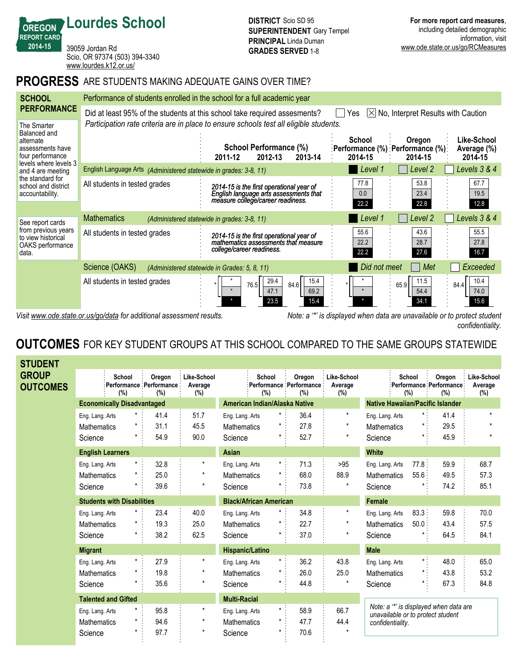39059 Jordan Rd Scio, OR 97374 (503) 394-3340 <www.lourdes.k12.or.us/>

**Lourdes School**

**OREGON REPORT CARD 201415**

## **PROGRESS** ARE STUDENTS MAKING ADEQUATE GAINS OVER TIME?

| <b>SCHOOL</b>                                                                                            | Performance of students enrolled in the school for a full academic year                                                            |                                                                                                                                                   |                      |                                                          |                                       |  |  |  |  |
|----------------------------------------------------------------------------------------------------------|------------------------------------------------------------------------------------------------------------------------------------|---------------------------------------------------------------------------------------------------------------------------------------------------|----------------------|----------------------------------------------------------|---------------------------------------|--|--|--|--|
| <b>PERFORMANCE</b>                                                                                       | Did at least 95% of the students at this school take required assesments?<br>$[\times]$ No, Interpret Results with Caution<br>Yes. |                                                                                                                                                   |                      |                                                          |                                       |  |  |  |  |
| The Smarter<br>Balanced and<br>alternate<br>assessments have<br>four performance                         |                                                                                                                                    | Participation rate criteria are in place to ensure schools test all eligible students.<br>School Performance (%)<br>2012-13<br>2013-14<br>2011-12 | School<br>2014-15    | Oregon<br>:Performance (%) :Performance (%) :<br>2014-15 | Like-School<br>Average (%)<br>2014-15 |  |  |  |  |
| levels where levels 3<br>and 4 are meeting<br>the standard for<br>school and district<br>accountability. | English Language Arts (Administered statewide in grades: 3-8, 11)                                                                  |                                                                                                                                                   | Level 1              | Level 2                                                  | Levels 3 & 4                          |  |  |  |  |
|                                                                                                          | All students in tested grades                                                                                                      | 2014-15 is the first operational year of<br>English language arts assessments that<br>measure college/career readiness.                           | 77.8<br>0.0<br>22.2  | 53.8<br>23.4<br>22.8                                     | 67.7<br>19.5<br>12.8                  |  |  |  |  |
| See report cards                                                                                         | <b>Mathematics</b>                                                                                                                 | (Administered statewide in grades: 3-8, 11)                                                                                                       | Level 1              | Level <sub>2</sub>                                       | Levels 3 & 4                          |  |  |  |  |
| from previous years<br>to view historical<br>OAKS performance<br>data.                                   | All students in tested grades                                                                                                      | 2014-15 is the first operational year of<br>mathematics assessments that measure<br>college/career readiness.                                     | 55.6<br>22.2<br>22.2 | 43.6<br>28.7<br>27.6                                     | 55.5<br>27.8<br>16.7                  |  |  |  |  |
|                                                                                                          | Science (OAKS)                                                                                                                     | (Administered statewide in Grades: 5, 8, 11)                                                                                                      | Did not meet         | Met                                                      | Exceeded                              |  |  |  |  |
|                                                                                                          | All students in tested grades                                                                                                      | 29.4<br>15.4<br>84.6<br>76.5<br>69.2<br>47.1<br>23.5<br>15.4                                                                                      |                      | 11.5<br>65.9<br>54.4<br>34.1                             | 10.4<br>84.4<br>74.0<br>15.6          |  |  |  |  |

*Visit www.ode.state.or.us/go/data for additional assessment results. Note: a '\*' is displayed when data are unavailable or to protect student confidentiality.*

# **OUTCOMES** FOR KEY STUDENT GROUPS AT THIS SCHOOL COMPARED TO THE SAME GROUPS STATEWIDE

| <b>STUDENT</b>                  |                         |                                   |                                              |                               |                                |                                            |                                  |                                                                             |               |                                          |                                  |
|---------------------------------|-------------------------|-----------------------------------|----------------------------------------------|-------------------------------|--------------------------------|--------------------------------------------|----------------------------------|-----------------------------------------------------------------------------|---------------|------------------------------------------|----------------------------------|
| <b>GROUP</b><br><b>OUTCOMES</b> |                         | School<br>(%)                     | Oregon<br>Performance : Performance :<br>(%) | Like-School<br>Average<br>(%) | <b>School</b><br>(%)           | Oregon<br>:Performance :Performance<br>(%) | Like-School<br>Average<br>$(\%)$ |                                                                             | School<br>(%) | Oregon<br>Performance Performance<br>(%) | Like-School<br>Average<br>$(\%)$ |
|                                 |                         | <b>Economically Disadvantaged</b> |                                              |                               | American Indian/Alaska Native  |                                            |                                  | <b>Native Hawaiian/Pacific Islander</b>                                     |               |                                          |                                  |
|                                 | Eng. Lang. Arts         | $\star$ :                         | 41.4                                         | 51.7                          | $^{\star}$<br>Eng. Lang. Arts  | 36.4                                       | $^\star$                         | Eng. Lang. Arts                                                             | $\star$ .     | 41.4                                     | $\star$                          |
|                                 | <b>Mathematics</b>      |                                   | 31.1                                         | 45.5                          | $^\star$<br><b>Mathematics</b> | 27.8                                       | $\star$                          | <b>Mathematics</b>                                                          |               | 29.5                                     | $\star$                          |
|                                 | Science                 | *                                 | 54.9                                         | 90.0                          | *<br>Science                   | 52.7                                       | $\star$                          | Science                                                                     |               | 45.9                                     |                                  |
|                                 | <b>English Learners</b> |                                   |                                              |                               | Asian                          |                                            |                                  | <b>White</b>                                                                |               |                                          |                                  |
|                                 | Eng. Lang. Arts         |                                   | 32.8                                         | $\star$                       | Eng. Lang. Arts                | $\star$ .<br>71.3                          | >95                              | Eng. Lang. Arts                                                             | 77.8:         | 59.9                                     | 68.7                             |
|                                 | <b>Mathematics</b>      |                                   | 25.0                                         | $\star$                       | <b>Mathematics</b>             | $\star$ .<br>68.0                          | 88.9                             | <b>Mathematics</b>                                                          | 55.6          | 49.5                                     | 57.3                             |
|                                 | Science                 |                                   | 39.6                                         | $\star$                       | Science                        | 73.8                                       | $\star$                          | Science                                                                     |               | 74.2                                     | 85.1                             |
|                                 |                         | <b>Students with Disabilities</b> |                                              |                               | <b>Black/African American</b>  |                                            |                                  | <b>Female</b>                                                               |               |                                          |                                  |
|                                 | Eng. Lang. Arts         | $^{\star}$                        | 23.4                                         | 40.0                          | Eng. Lang. Arts                | 34.8                                       |                                  | Eng. Lang. Arts                                                             | 83.3:         | 59.8                                     | 70.0                             |
|                                 | <b>Mathematics</b>      | $^\star$                          | 19.3                                         | 25.0                          | *<br><b>Mathematics</b>        | 22.7                                       | $\star$                          | <b>Mathematics</b>                                                          | 50.0:         | 43.4                                     | 57.5                             |
|                                 | Science                 | $^\star$                          | 38.2                                         | 62.5                          | Science                        | 37.0                                       | $\star$                          | Science                                                                     |               | 64.5                                     | 84.1                             |
|                                 | <b>Migrant</b>          |                                   |                                              |                               | <b>Hispanic/Latino</b>         |                                            |                                  | <b>Male</b>                                                                 |               |                                          |                                  |
|                                 | Eng. Lang. Arts         | $\star$ :                         | 27.9                                         | $\star$                       | $\star$<br>Eng. Lang. Arts     | 36.2                                       | 43.8                             | Eng. Lang. Arts                                                             | $\star$ .     | 48.0                                     | 65.0                             |
|                                 | <b>Mathematics</b>      | $^\star$                          | 19.8                                         | $\star$                       | $^\star$<br><b>Mathematics</b> | 26.0                                       | 25.0                             | <b>Mathematics</b>                                                          | $\star$ .     | 43.8                                     | 53.2                             |
|                                 | Science                 |                                   | 35.6                                         | $^\star$                      | $\star$<br>Science             | 44.8                                       | $\star$                          | Science                                                                     |               | 67.3                                     | 84.8                             |
|                                 |                         | <b>Talented and Gifted</b>        |                                              |                               | <b>Multi-Racial</b>            |                                            |                                  |                                                                             |               |                                          |                                  |
|                                 | Eng. Lang. Arts         | $\star$                           | 95.8                                         | $\star$                       | Eng. Lang. Arts                | $\pmb{\star}$<br>58.9                      | 66.7                             | Note: a "*' is displayed when data are<br>unavailable or to protect student |               |                                          |                                  |
|                                 | <b>Mathematics</b>      | $\star$                           | 94.6                                         | $^\star$                      | $\star$<br><b>Mathematics</b>  | 47.7                                       | 44.4                             | confidentiality.                                                            |               |                                          |                                  |
|                                 | Science                 | $\star$                           | 97.7                                         | $\star$                       | $\star$<br>Science             | 70.6                                       |                                  |                                                                             |               |                                          |                                  |
|                                 |                         |                                   |                                              |                               |                                |                                            |                                  |                                                                             |               |                                          |                                  |